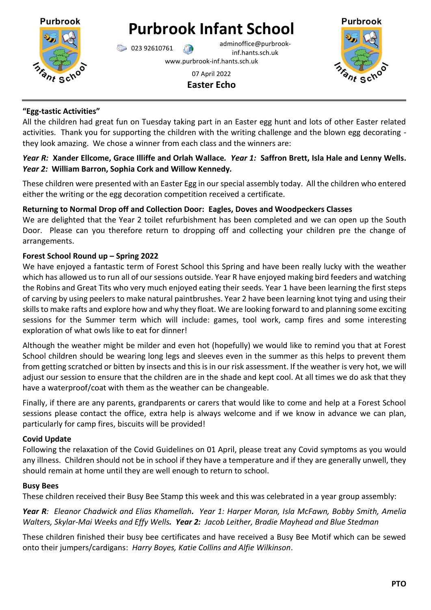

# **Purbrook Infant School**

023 92610761 adminoffice@purbrookinf.hants.sch.uk www.purbrook-inf.hants.sch.uk



07 April 2022 **Easter Echo**

### **"Egg-tastic Activities"**

All the children had great fun on Tuesday taking part in an Easter egg hunt and lots of other Easter related activities. Thank you for supporting the children with the writing challenge and the blown egg decorating they look amazing. We chose a winner from each class and the winners are:

# *Year R:* **Xander Ellcome, Grace Illiffe and Orlah Wallace***. Year 1:* **Saffron Brett, Isla Hale and Lenny Wells.**  *Year 2:* **William Barron, Sophia Cork and Willow Kennedy***.*

These children were presented with an Easter Egg in our special assembly today. All the children who entered either the writing or the egg decoration competition received a certificate.

## **Returning to Normal Drop off and Collection Door: Eagles, Doves and Woodpeckers Classes**

We are delighted that the Year 2 toilet refurbishment has been completed and we can open up the South Door. Please can you therefore return to dropping off and collecting your children pre the change of arrangements.

# **Forest School Round up – Spring 2022**

We have enjoyed a fantastic term of Forest School this Spring and have been really lucky with the weather which has allowed us to run all of our sessions outside. Year R have enjoyed making bird feeders and watching the Robins and Great Tits who very much enjoyed eating their seeds. Year 1 have been learning the first steps of carving by using peelers to make natural paintbrushes. Year 2 have been learning knot tying and using their skills to make rafts and explore how and why they float. We are looking forward to and planning some exciting sessions for the Summer term which will include: games, tool work, camp fires and some interesting exploration of what owls like to eat for dinner!

Although the weather might be milder and even hot (hopefully) we would like to remind you that at Forest School children should be wearing long legs and sleeves even in the summer as this helps to prevent them from getting scratched or bitten by insects and this is in our risk assessment. If the weather is very hot, we will adjust our session to ensure that the children are in the shade and kept cool. At all times we do ask that they have a waterproof/coat with them as the weather can be changeable.

Finally, if there are any parents, grandparents or carers that would like to come and help at a Forest School sessions please contact the office, extra help is always welcome and if we know in advance we can plan, particularly for camp fires, biscuits will be provided!

## **Covid Update**

Following the relaxation of the Covid Guidelines on 01 April, please treat any Covid symptoms as you would any illness. Children should not be in school if they have a temperature and if they are generally unwell, they should remain at home until they are well enough to return to school.

#### **Busy Bees**

These children received their Busy Bee Stamp this week and this was celebrated in a year group assembly:

*Year R: Eleanor Chadwick and Elias Khamellah. Year 1: Harper Moran, Isla McFawn, Bobby Smith, Amelia Walters, Skylar-Mai Weeks and Effy Wells. Year 2: Jacob Leither, Bradie Mayhead and Blue Stedman*

These children finished their busy bee certificates and have received a Busy Bee Motif which can be sewed onto their jumpers/cardigans: *Harry Boyes, Katie Collins and Alfie Wilkinson*.